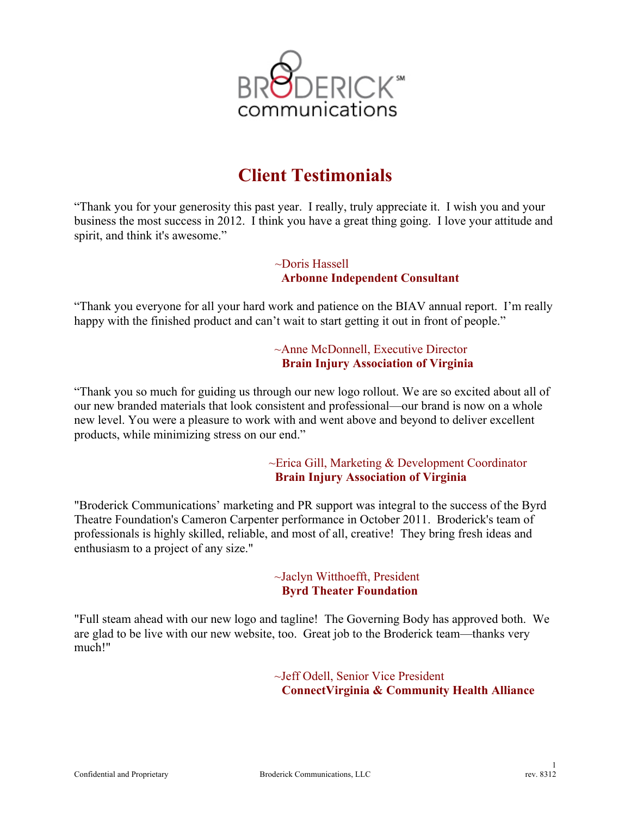

# **Client Testimonials**

"Thank you for your generosity this past year. I really, truly appreciate it. I wish you and your business the most success in 2012. I think you have a great thing going. I love your attitude and spirit, and think it's awesome."

> ~Doris Hassell  **Arbonne Independent Consultant**

"Thank you everyone for all your hard work and patience on the BIAV annual report. I'm really happy with the finished product and can't wait to start getting it out in front of people."

> ~Anne McDonnell, Executive Director **Brain Injury Association of Virginia**

"Thank you so much for guiding us through our new logo rollout. We are so excited about all of our new branded materials that look consistent and professional—our brand is now on a whole new level. You were a pleasure to work with and went above and beyond to deliver excellent products, while minimizing stress on our end."

> ~Erica Gill, Marketing & Development Coordinator **Brain Injury Association of Virginia**

"Broderick Communications' marketing and PR support was integral to the success of the Byrd Theatre Foundation's Cameron Carpenter performance in October 2011. Broderick's team of professionals is highly skilled, reliable, and most of all, creative! They bring fresh ideas and enthusiasm to a project of any size."

> ~Jaclyn Witthoefft, President **Byrd Theater Foundation**

"Full steam ahead with our new logo and tagline! The Governing Body has approved both. We are glad to be live with our new website, too. Great job to the Broderick team—thanks very much!"

> ~Jeff Odell, Senior Vice President **ConnectVirginia & Community Health Alliance**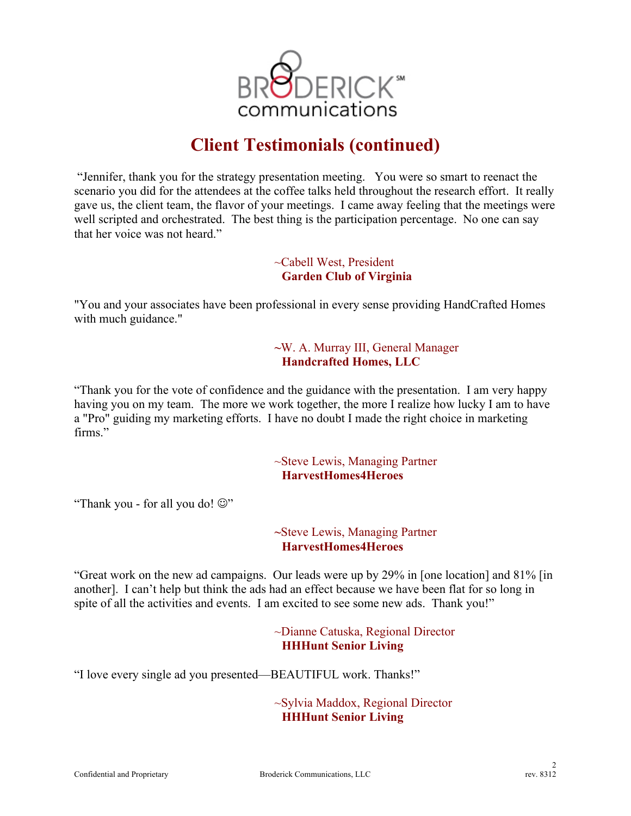

"Jennifer, thank you for the strategy presentation meeting. You were so smart to reenact the scenario you did for the attendees at the coffee talks held throughout the research effort. It really gave us, the client team, the flavor of your meetings. I came away feeling that the meetings were well scripted and orchestrated. The best thing is the participation percentage. No one can say that her voice was not heard."

> ~Cabell West, President **Garden Club of Virginia**

"You and your associates have been professional in every sense providing HandCrafted Homes with much guidance."

> **~**W. A. Murray III, General Manager **Handcrafted Homes, LLC**

"Thank you for the vote of confidence and the guidance with the presentation. I am very happy having you on my team. The more we work together, the more I realize how lucky I am to have a "Pro" guiding my marketing efforts. I have no doubt I made the right choice in marketing firms."

> ~Steve Lewis, Managing Partner **HarvestHomes4Heroes**

"Thank you - for all you do!  $\mathbb{Q}$ "

**~**Steve Lewis, Managing Partner **HarvestHomes4Heroes**

"Great work on the new ad campaigns. Our leads were up by 29% in [one location] and 81% [in another]. I can't help but think the ads had an effect because we have been flat for so long in spite of all the activities and events. I am excited to see some new ads. Thank you!"

> ~Dianne Catuska, Regional Director **HHHunt Senior Living**

"I love every single ad you presented—BEAUTIFUL work. Thanks!"

~Sylvia Maddox, Regional Director **HHHunt Senior Living**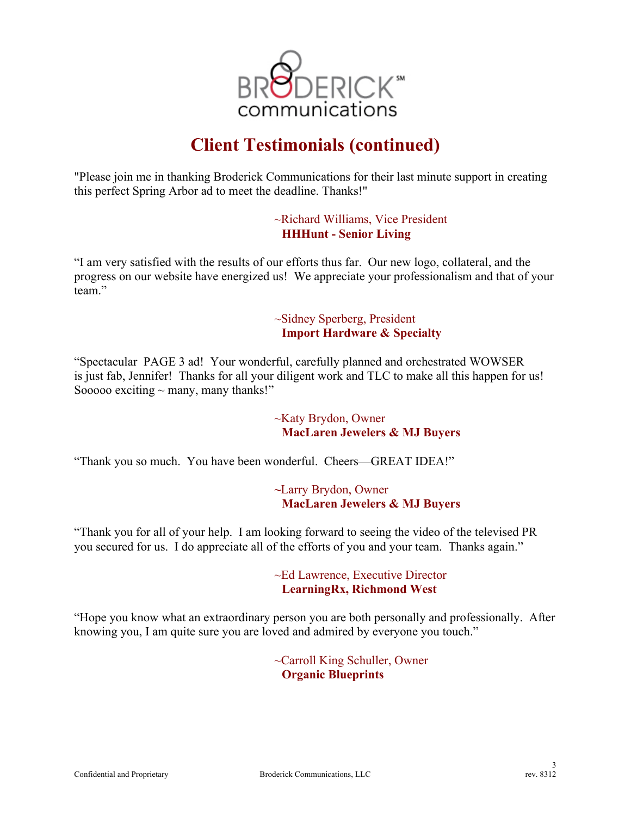

"Please join me in thanking Broderick Communications for their last minute support in creating this perfect Spring Arbor ad to meet the deadline. Thanks!"

> ~Richard Williams, Vice President **HHHunt - Senior Living**

"I am very satisfied with the results of our efforts thus far. Our new logo, collateral, and the progress on our website have energized us! We appreciate your professionalism and that of your team."

> ~Sidney Sperberg, President **Import Hardware & Specialty**

"Spectacular PAGE 3 ad! Your wonderful, carefully planned and orchestrated WOWSER is just fab, Jennifer! Thanks for all your diligent work and TLC to make all this happen for us! Sooooo exciting  $\sim$  many, many thanks!"

> ~Katy Brydon, Owner **MacLaren Jewelers & MJ Buyers**

"Thank you so much. You have been wonderful. Cheers—GREAT IDEA!"

**~**Larry Brydon, Owner **MacLaren Jewelers & MJ Buyers**

"Thank you for all of your help. I am looking forward to seeing the video of the televised PR you secured for us. I do appreciate all of the efforts of you and your team. Thanks again."

> ~Ed Lawrence, Executive Director **LearningRx, Richmond West**

"Hope you know what an extraordinary person you are both personally and professionally. After knowing you, I am quite sure you are loved and admired by everyone you touch."

> ~Carroll King Schuller, Owner **Organic Blueprints**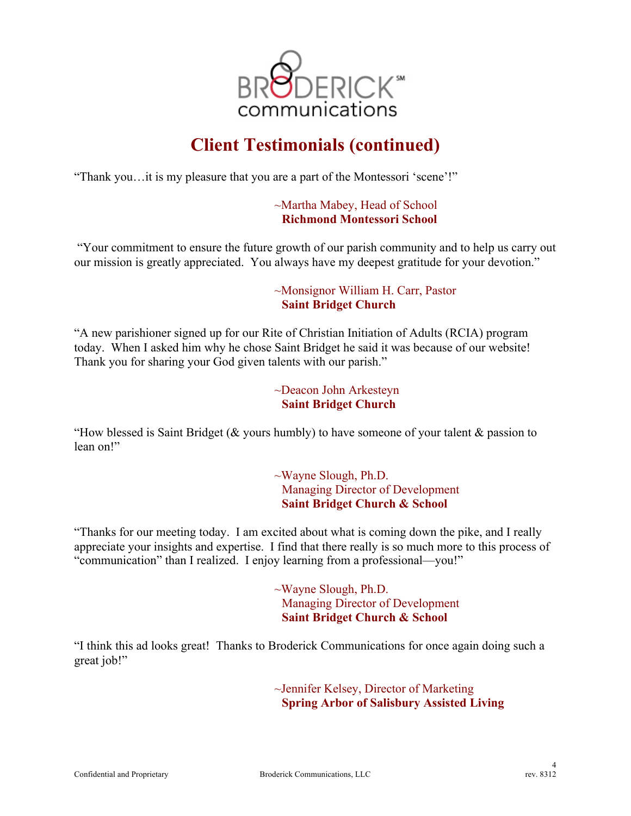

"Thank you…it is my pleasure that you are a part of the Montessori 'scene'!"

#### ~Martha Mabey, Head of School **Richmond Montessori School**

"Your commitment to ensure the future growth of our parish community and to help us carry out our mission is greatly appreciated. You always have my deepest gratitude for your devotion."

### ~Monsignor William H. Carr, Pastor **Saint Bridget Church**

"A new parishioner signed up for our Rite of Christian Initiation of Adults (RCIA) program today. When I asked him why he chose Saint Bridget he said it was because of our website! Thank you for sharing your God given talents with our parish."

#### ~Deacon John Arkesteyn **Saint Bridget Church**

"How blessed is Saint Bridget ( $\&$  yours humbly) to have someone of your talent  $\&$  passion to lean on!"

> ~Wayne Slough, Ph.D. Managing Director of Development **Saint Bridget Church & School**

"Thanks for our meeting today. I am excited about what is coming down the pike, and I really appreciate your insights and expertise. I find that there really is so much more to this process of "communication" than I realized. I enjoy learning from a professional—you!"

> ~Wayne Slough, Ph.D. Managing Director of Development **Saint Bridget Church & School**

"I think this ad looks great! Thanks to Broderick Communications for once again doing such a great job!"

> ~Jennifer Kelsey, Director of Marketing **Spring Arbor of Salisbury Assisted Living**